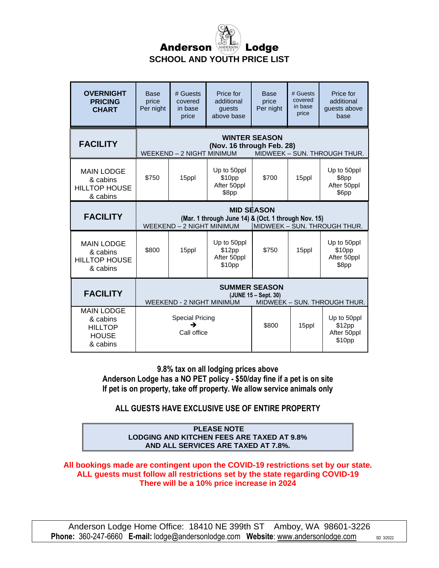

| <b>OVERNIGHT</b><br><b>PRICING</b><br><b>CHART</b>                          | <b>Base</b><br>price<br>Per night                                                                                                     | # Guests<br>covered<br>in base<br>price | Price for<br>additional<br>quests<br>above base | <b>Base</b><br>price<br>Per night | # Guests<br>covered<br>in base<br>price | Price for<br>additional<br>quests above<br>base |
|-----------------------------------------------------------------------------|---------------------------------------------------------------------------------------------------------------------------------------|-----------------------------------------|-------------------------------------------------|-----------------------------------|-----------------------------------------|-------------------------------------------------|
| <b>FACILITY</b>                                                             | <b>WINTER SEASON</b><br>(Nov. 16 through Feb. 28)<br>WEEKEND - 2 NIGHT MINIMUM<br>MIDWEEK - SUN. THROUGH THUR.                        |                                         |                                                 |                                   |                                         |                                                 |
| <b>MAIN LODGE</b><br>& cabins<br><b>HILLTOP HOUSE</b><br>& cabins           | \$750                                                                                                                                 | 15ppl                                   | Up to 50ppl<br>\$10pp<br>After 50ppl<br>\$8pp   | \$700                             | 15ppl                                   | Up to 50ppl<br>\$8pp<br>After 50ppl<br>\$6pp    |
| <b>FACILITY</b>                                                             | <b>MID SEASON</b><br>(Mar. 1 through June 14) & (Oct. 1 through Nov. 15)<br>WEEKEND - 2 NIGHT MINIMUM<br>MIDWEEK - SUN. THROUGH THUR. |                                         |                                                 |                                   |                                         |                                                 |
| <b>MAIN LODGE</b><br>& cabins<br><b>HILLTOP HOUSE</b><br>& cabins           | \$800                                                                                                                                 | 15ppl                                   | Up to 50ppl<br>\$12pp<br>After 50ppl<br>\$10pp  | \$750                             | 15ppl                                   | Up to 50ppl<br>\$10pp<br>After 50ppl<br>\$8pp   |
| <b>FACILITY</b>                                                             | <b>SUMMER SEASON</b><br>(JUNE 15 - Sept. 30)<br><b>WEEKEND - 2 NIGHT MINIMUM</b><br>MIDWEEK - SUN. THROUGH THUR.                      |                                         |                                                 |                                   |                                         |                                                 |
| <b>MAIN LODGE</b><br>& cabins<br><b>HILLTOP</b><br><b>HOUSE</b><br>& cabins | <b>Special Pricing</b><br>→<br>Call office                                                                                            |                                         |                                                 | \$800                             | 15ppl                                   | Up to 50ppl<br>\$12pp<br>After 50ppl<br>\$10pp  |

**9.8% tax on all lodging prices above Anderson Lodge has a NO PET policy - \$50/day fine if a pet is on site If pet is on property, take off property. We allow service animals only**

**ALL GUESTS HAVE EXCLUSIVE USE OF ENTIRE PROPERTY**

#### **PLEASE NOTE LODGING AND KITCHEN FEES ARE TAXED AT 9.8% AND ALL SERVICES ARE TAXED AT 7.8%.**

**All bookings made are contingent upon the COVID-19 restrictions set by our state. ALL guests must follow all restrictions set by the state regarding COVID-19 There will be a 10% price increase in 2024**

Anderson Lodge Home Office: 18410 NE 399th ST Amboy, WA 98601-3226 **Phone:** 360-247-6660 **E-mail:** lodge@andersonlodge.com Website: [www.andersonlodge.com](http://www.andersonlodge.com/) sD 3/2022